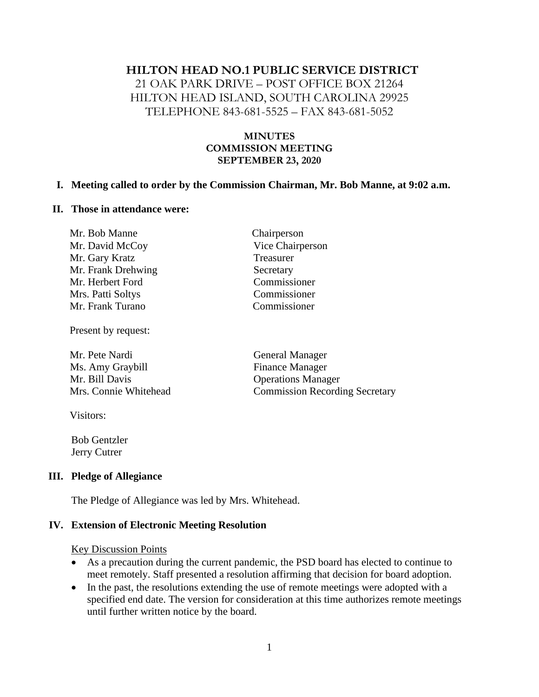### **HILTON HEAD NO.1 PUBLIC SERVICE DISTRICT**

21 OAK PARK DRIVE – POST OFFICE BOX 21264 HILTON HEAD ISLAND, SOUTH CAROLINA 29925 TELEPHONE 843-681-5525 – FAX 843-681-5052

### **MINUTES COMMISSION MEETING SEPTEMBER 23, 2020**

#### **I. Meeting called to order by the Commission Chairman, Mr. Bob Manne, at 9:02 a.m.**

#### **II. Those in attendance were:**

| Mr. Bob Manne      | Chairperson      |
|--------------------|------------------|
| Mr. David McCoy    | Vice Chairperson |
| Mr. Gary Kratz     | Treasurer        |
| Mr. Frank Drehwing | Secretary        |
| Mr. Herbert Ford   | Commissioner     |
| Mrs. Patti Soltys  | Commissioner     |
| Mr. Frank Turano   | Commissioner     |
|                    |                  |

Present by request:

Mr. Pete Nardi General Manager Ms. Amy Graybill Finance Manager Mr. Bill Davis Operations Manager

Mrs. Connie Whitehead Commission Recording Secretary

Visitors:

 Bob Gentzler Jerry Cutrer

### **III. Pledge of Allegiance**

The Pledge of Allegiance was led by Mrs. Whitehead.

### **IV. Extension of Electronic Meeting Resolution**

Key Discussion Points

- As a precaution during the current pandemic, the PSD board has elected to continue to meet remotely. Staff presented a resolution affirming that decision for board adoption.
- In the past, the resolutions extending the use of remote meetings were adopted with a specified end date. The version for consideration at this time authorizes remote meetings until further written notice by the board.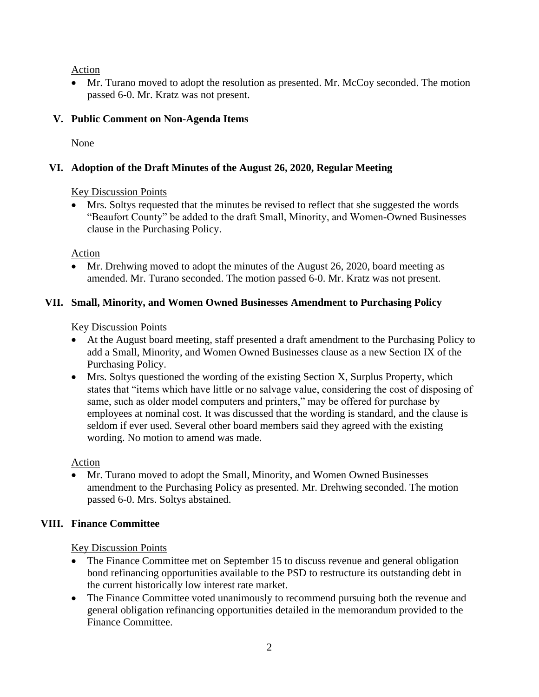Action

• Mr. Turano moved to adopt the resolution as presented. Mr. McCoy seconded. The motion passed 6-0. Mr. Kratz was not present.

# **V. Public Comment on Non-Agenda Items**

None

# **VI. Adoption of the Draft Minutes of the August 26, 2020, Regular Meeting**

# Key Discussion Points

• Mrs. Soltys requested that the minutes be revised to reflect that she suggested the words "Beaufort County" be added to the draft Small, Minority, and Women-Owned Businesses clause in the Purchasing Policy.

Action

• Mr. Drehwing moved to adopt the minutes of the August 26, 2020, board meeting as amended. Mr. Turano seconded. The motion passed 6-0. Mr. Kratz was not present.

# **VII. Small, Minority, and Women Owned Businesses Amendment to Purchasing Policy**

Key Discussion Points

- At the August board meeting, staff presented a draft amendment to the Purchasing Policy to add a Small, Minority, and Women Owned Businesses clause as a new Section IX of the Purchasing Policy.
- Mrs. Soltys questioned the wording of the existing Section X, Surplus Property, which states that "items which have little or no salvage value, considering the cost of disposing of same, such as older model computers and printers," may be offered for purchase by employees at nominal cost. It was discussed that the wording is standard, and the clause is seldom if ever used. Several other board members said they agreed with the existing wording. No motion to amend was made.

Action

• Mr. Turano moved to adopt the Small, Minority, and Women Owned Businesses amendment to the Purchasing Policy as presented. Mr. Drehwing seconded. The motion passed 6-0. Mrs. Soltys abstained.

# **VIII. Finance Committee**

Key Discussion Points

- The Finance Committee met on September 15 to discuss revenue and general obligation bond refinancing opportunities available to the PSD to restructure its outstanding debt in the current historically low interest rate market.
- The Finance Committee voted unanimously to recommend pursuing both the revenue and general obligation refinancing opportunities detailed in the memorandum provided to the Finance Committee.